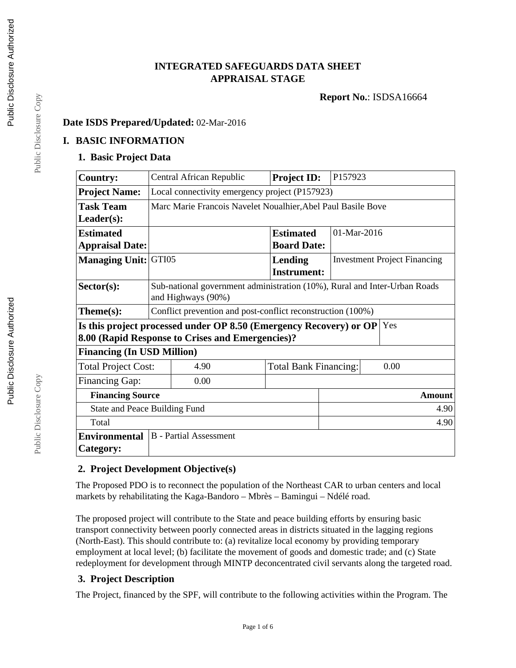# **INTEGRATED SAFEGUARDS DATA SHEET APPRAISAL STAGE**

**Report No.**: ISDSA16664

### **Date ISDS Prepared/Updated:** 02-Mar-2016

## **I. BASIC INFORMATION**

#### **1. Basic Project Data**

| <b>Country:</b>                                                            |                                                                           | Central African Republic                         | <b>Project ID:</b>           | P157923                             |  |
|----------------------------------------------------------------------------|---------------------------------------------------------------------------|--------------------------------------------------|------------------------------|-------------------------------------|--|
| <b>Project Name:</b>                                                       | Local connectivity emergency project (P157923)                            |                                                  |                              |                                     |  |
| <b>Task Team</b>                                                           | Marc Marie Francois Navelet Noualhier, Abel Paul Basile Bove              |                                                  |                              |                                     |  |
| $Leader(s)$ :                                                              |                                                                           |                                                  |                              |                                     |  |
| <b>Estimated</b>                                                           |                                                                           |                                                  | <b>Estimated</b>             | 01-Mar-2016                         |  |
| <b>Appraisal Date:</b>                                                     |                                                                           |                                                  | <b>Board Date:</b>           |                                     |  |
| <b>Managing Unit: GTI05</b>                                                |                                                                           |                                                  | Lending                      | <b>Investment Project Financing</b> |  |
|                                                                            |                                                                           |                                                  | <b>Instrument:</b>           |                                     |  |
| $Sector(s)$ :                                                              | Sub-national government administration (10%), Rural and Inter-Urban Roads |                                                  |                              |                                     |  |
|                                                                            | and Highways (90%)                                                        |                                                  |                              |                                     |  |
| $Thene(s):$                                                                | Conflict prevention and post-conflict reconstruction (100%)               |                                                  |                              |                                     |  |
| Is this project processed under OP 8.50 (Emergency Recovery) or OP $ $ Yes |                                                                           |                                                  |                              |                                     |  |
|                                                                            |                                                                           | 8.00 (Rapid Response to Crises and Emergencies)? |                              |                                     |  |
| <b>Financing (In USD Million)</b>                                          |                                                                           |                                                  |                              |                                     |  |
| <b>Total Project Cost:</b>                                                 |                                                                           | 4.90                                             | <b>Total Bank Financing:</b> | 0.00                                |  |
| <b>Financing Gap:</b>                                                      |                                                                           | 0.00                                             |                              |                                     |  |
| <b>Financing Source</b>                                                    |                                                                           |                                                  |                              | <b>Amount</b>                       |  |
| State and Peace Building Fund                                              |                                                                           |                                                  | 4.90                         |                                     |  |
| Total                                                                      |                                                                           |                                                  |                              | 4.90                                |  |
| Environmental                                                              |                                                                           | <b>B</b> - Partial Assessment                    |                              |                                     |  |
| Category:                                                                  |                                                                           |                                                  |                              |                                     |  |

## **2. Project Development Objective(s)**

The Proposed PDO is to reconnect the population of the Northeast CAR to urban centers and local markets by rehabilitating the Kaga-Bandoro – Mbrès – Bamingui – Ndélé road.

The proposed project will contribute to the State and peace building efforts by ensuring basic transport connectivity between poorly connected areas in districts situated in the lagging regions (North-East). This should contribute to: (a) revitalize local economy by providing temporary employment at local level; (b) facilitate the movement of goods and domestic trade; and (c) State redeployment for development through MINTP deconcentrated civil servants along the targeted road.

### **3. Project Description**

The Project, financed by the SPF, will contribute to the following activities within the Program. The

Public Disclosure Copy

Public Disclosure Copy Public Disclosure Copy

Public Disclosure Copy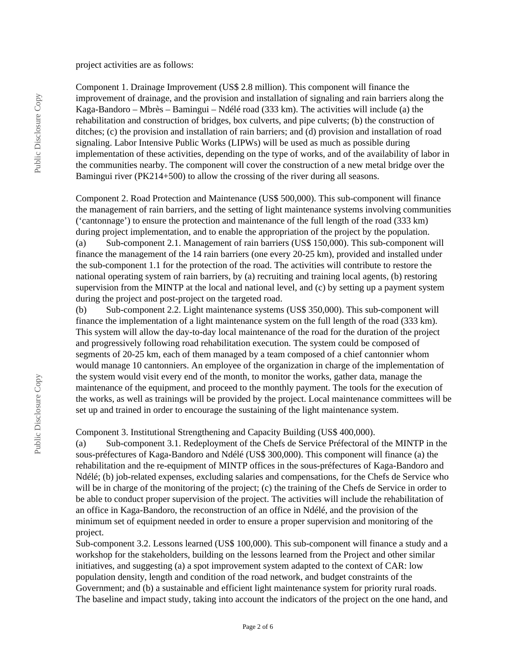#### project activities are as follows:

Component 1. Drainage Improvement (US\$ 2.8 million). This component will finance the improvement of drainage, and the provision and installation of signaling and rain barriers along the Kaga-Bandoro – Mbrès – Bamingui – Ndélé road (333 km). The activities will include (a) the rehabilitation and construction of bridges, box culverts, and pipe culverts; (b) the construction of ditches; (c) the provision and installation of rain barriers; and (d) provision and installation of road signaling. Labor Intensive Public Works (LIPWs) will be used as much as possible during implementation of these activities, depending on the type of works, and of the availability of labor in the communities nearby. The component will cover the construction of a new metal bridge over the Bamingui river (PK214+500) to allow the crossing of the river during all seasons.

Component 2. Road Protection and Maintenance (US\$ 500,000). This sub-component will finance the management of rain barriers, and the setting of light maintenance systems involving communities ('cantonnage') to ensure the protection and maintenance of the full length of the road (333 km) during project implementation, and to enable the appropriation of the project by the population. (a) Sub-component 2.1. Management of rain barriers (US\$ 150,000). This sub-component will finance the management of the 14 rain barriers (one every 20-25 km), provided and installed under the sub-component 1.1 for the protection of the road. The activities will contribute to restore the national operating system of rain barriers, by (a) recruiting and training local agents, (b) restoring supervision from the MINTP at the local and national level, and (c) by setting up a payment system

during the project and post-project on the targeted road. (b) Sub-component 2.2. Light maintenance systems (US\$ 350,000). This sub-component will finance the implementation of a light maintenance system on the full length of the road (333 km). This system will allow the day-to-day local maintenance of the road for the duration of the project and progressively following road rehabilitation execution. The system could be composed of segments of 20-25 km, each of them managed by a team composed of a chief cantonnier whom would manage 10 cantonniers. An employee of the organization in charge of the implementation of the system would visit every end of the month, to monitor the works, gather data, manage the maintenance of the equipment, and proceed to the monthly payment. The tools for the execution of the works, as well as trainings will be provided by the project. Local maintenance committees will be set up and trained in order to encourage the sustaining of the light maintenance system.

#### Component 3. Institutional Strengthening and Capacity Building (US\$ 400,000).

(a) Sub-component 3.1. Redeployment of the Chefs de Service Préfectoral of the MINTP in the sous-préfectures of Kaga-Bandoro and Ndélé (US\$ 300,000). This component will finance (a) the rehabilitation and the re-equipment of MINTP offices in the sous-préfectures of Kaga-Bandoro and Ndélé; (b) job-related expenses, excluding salaries and compensations, for the Chefs de Service who will be in charge of the monitoring of the project; (c) the training of the Chefs de Service in order to be able to conduct proper supervision of the project. The activities will include the rehabilitation of an office in Kaga-Bandoro, the reconstruction of an office in Ndélé, and the provision of the minimum set of equipment needed in order to ensure a proper supervision and monitoring of the project.

Sub-component 3.2. Lessons learned (US\$ 100,000). This sub-component will finance a study and a workshop for the stakeholders, building on the lessons learned from the Project and other similar initiatives, and suggesting (a) a spot improvement system adapted to the context of CAR: low population density, length and condition of the road network, and budget constraints of the Government; and (b) a sustainable and efficient light maintenance system for priority rural roads. The baseline and impact study, taking into account the indicators of the project on the one hand, and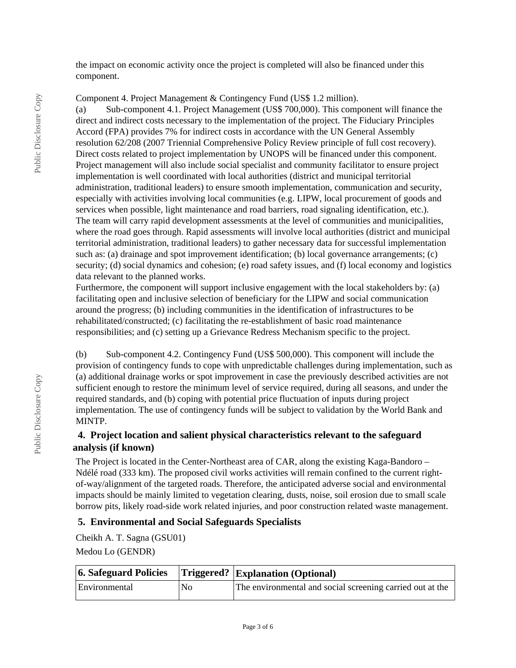the impact on economic activity once the project is completed will also be financed under this component.

Component 4. Project Management & Contingency Fund (US\$ 1.2 million).

(a) Sub-component 4.1. Project Management (US\$ 700,000). This component will finance the direct and indirect costs necessary to the implementation of the project. The Fiduciary Principles Accord (FPA) provides 7% for indirect costs in accordance with the UN General Assembly resolution 62/208 (2007 Triennial Comprehensive Policy Review principle of full cost recovery). Direct costs related to project implementation by UNOPS will be financed under this component. Project management will also include social specialist and community facilitator to ensure project implementation is well coordinated with local authorities (district and municipal territorial administration, traditional leaders) to ensure smooth implementation, communication and security, especially with activities involving local communities (e.g. LIPW, local procurement of goods and services when possible, light maintenance and road barriers, road signaling identification, etc.). The team will carry rapid development assessments at the level of communities and municipalities, where the road goes through. Rapid assessments will involve local authorities (district and municipal territorial administration, traditional leaders) to gather necessary data for successful implementation such as: (a) drainage and spot improvement identification; (b) local governance arrangements; (c) security; (d) social dynamics and cohesion; (e) road safety issues, and (f) local economy and logistics data relevant to the planned works.

Furthermore, the component will support inclusive engagement with the local stakeholders by: (a) facilitating open and inclusive selection of beneficiary for the LIPW and social communication around the progress; (b) including communities in the identification of infrastructures to be rehabilitated/constructed; (c) facilitating the re-establishment of basic road maintenance responsibilities; and (c) setting up a Grievance Redress Mechanism specific to the project.

(b) Sub-component 4.2. Contingency Fund (US\$ 500,000). This component will include the provision of contingency funds to cope with unpredictable challenges during implementation, such as (a) additional drainage works or spot improvement in case the previously described activities are not sufficient enough to restore the minimum level of service required, during all seasons, and under the required standards, and (b) coping with potential price fluctuation of inputs during project implementation. The use of contingency funds will be subject to validation by the World Bank and MINTP.

# **4. Project location and salient physical characteristics relevant to the safeguard analysis (if known)**

The Project is located in the Center-Northeast area of CAR, along the existing Kaga-Bandoro – Ndélé road (333 km). The proposed civil works activities will remain confined to the current rightof-way/alignment of the targeted roads. Therefore, the anticipated adverse social and environmental impacts should be mainly limited to vegetation clearing, dusts, noise, soil erosion due to small scale borrow pits, likely road-side work related injuries, and poor construction related waste management.

### **5. Environmental and Social Safeguards Specialists**

Cheikh A. T. Sagna (GSU01) Medou Lo (GENDR)

| 6. Safeguard Policies |     | <b>Triggered? Explanation (Optional)</b>                  |
|-----------------------|-----|-----------------------------------------------------------|
| Environmental         | No. | The environmental and social screening carried out at the |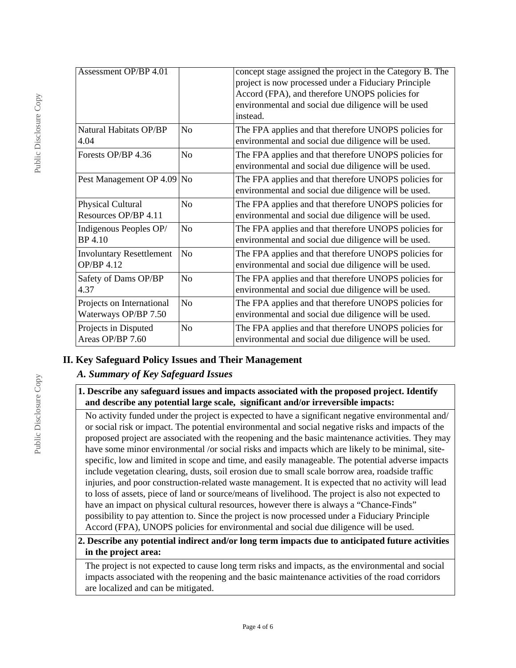| <b>Assessment OP/BP 4.01</b>                      |                | concept stage assigned the project in the Category B. The<br>project is now processed under a Fiduciary Principle<br>Accord (FPA), and therefore UNOPS policies for<br>environmental and social due diligence will be used<br>instead. |
|---------------------------------------------------|----------------|----------------------------------------------------------------------------------------------------------------------------------------------------------------------------------------------------------------------------------------|
| Natural Habitats OP/BP<br>4.04                    | N <sub>0</sub> | The FPA applies and that therefore UNOPS policies for<br>environmental and social due diligence will be used.                                                                                                                          |
| Forests OP/BP 4.36                                | N <sub>0</sub> | The FPA applies and that therefore UNOPS policies for<br>environmental and social due diligence will be used.                                                                                                                          |
| Pest Management OP 4.09                           | No             | The FPA applies and that therefore UNOPS policies for<br>environmental and social due diligence will be used.                                                                                                                          |
| Physical Cultural<br>Resources OP/BP 4.11         | No             | The FPA applies and that therefore UNOPS policies for<br>environmental and social due diligence will be used.                                                                                                                          |
| Indigenous Peoples OP/<br>BP 4.10                 | No             | The FPA applies and that therefore UNOPS policies for<br>environmental and social due diligence will be used.                                                                                                                          |
| <b>Involuntary Resettlement</b><br>OP/BP 4.12     | No             | The FPA applies and that therefore UNOPS policies for<br>environmental and social due diligence will be used.                                                                                                                          |
| Safety of Dams OP/BP<br>4.37                      | No             | The FPA applies and that therefore UNOPS policies for<br>environmental and social due diligence will be used.                                                                                                                          |
| Projects on International<br>Waterways OP/BP 7.50 | N <sub>o</sub> | The FPA applies and that therefore UNOPS policies for<br>environmental and social due diligence will be used.                                                                                                                          |
| Projects in Disputed<br>Areas OP/BP 7.60          | No             | The FPA applies and that therefore UNOPS policies for<br>environmental and social due diligence will be used.                                                                                                                          |

# **II. Key Safeguard Policy Issues and Their Management**

# *A. Summary of Key Safeguard Issues*

## **1. Describe any safeguard issues and impacts associated with the proposed project. Identify and describe any potential large scale, significant and/or irreversible impacts:**

No activity funded under the project is expected to have a significant negative environmental and/ or social risk or impact. The potential environmental and social negative risks and impacts of the proposed project are associated with the reopening and the basic maintenance activities. They may have some minor environmental /or social risks and impacts which are likely to be minimal, sitespecific, low and limited in scope and time, and easily manageable. The potential adverse impacts include vegetation clearing, dusts, soil erosion due to small scale borrow area, roadside traffic injuries, and poor construction-related waste management. It is expected that no activity will lead to loss of assets, piece of land or source/means of livelihood. The project is also not expected to have an impact on physical cultural resources, however there is always a "Chance-Finds" possibility to pay attention to. Since the project is now processed under a Fiduciary Principle Accord (FPA), UNOPS policies for environmental and social due diligence will be used.

### **2. Describe any potential indirect and/or long term impacts due to anticipated future activities in the project area:**

The project is not expected to cause long term risks and impacts, as the environmental and social impacts associated with the reopening and the basic maintenance activities of the road corridors are localized and can be mitigated.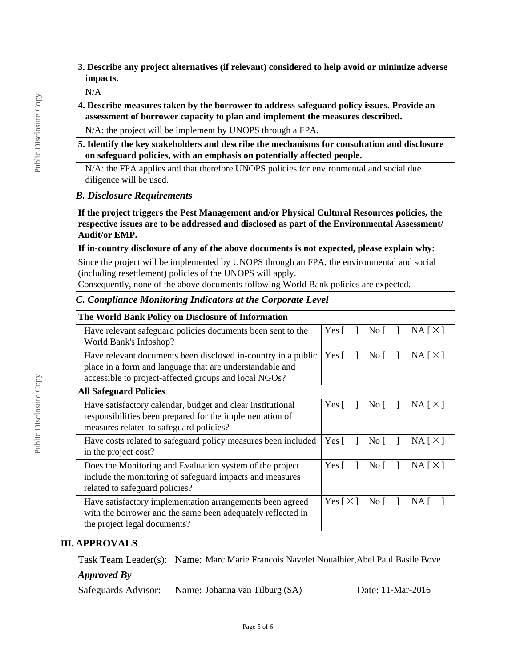#### N/A

**4. Describe measures taken by the borrower to address safeguard policy issues. Provide an assessment of borrower capacity to plan and implement the measures described.**

N/A: the project will be implement by UNOPS through a FPA.

**5. Identify the key stakeholders and describe the mechanisms for consultation and disclosure on safeguard policies, with an emphasis on potentially affected people.**

N/A: the FPA applies and that therefore UNOPS policies for environmental and social due diligence will be used.

## *B. Disclosure Requirements*

**If the project triggers the Pest Management and/or Physical Cultural Resources policies, the respective issues are to be addressed and disclosed as part of the Environmental Assessment/ Audit/or EMP.**

**If in-country disclosure of any of the above documents is not expected, please explain why:**

Since the project will be implemented by UNOPS through an FPA, the environmental and social (including resettlement) policies of the UNOPS will apply.

Consequently, none of the above documents following World Bank policies are expected.

## *C. Compliance Monitoring Indicators at the Corporate Level*

| The World Bank Policy on Disclosure of Information                                                                                                                                 |                            |                      |          |
|------------------------------------------------------------------------------------------------------------------------------------------------------------------------------------|----------------------------|----------------------|----------|
| Have relevant safeguard policies documents been sent to the<br>World Bank's Infoshop?                                                                                              | Yes [                      | No $\lceil$          | NA[X]    |
| Have relevant documents been disclosed in-country in a public<br>place in a form and language that are understandable and<br>accessible to project-affected groups and local NGOs? | Yes $\lceil$               | No $\lceil$          | NA [ X ] |
| <b>All Safeguard Policies</b>                                                                                                                                                      |                            |                      |          |
| Have satisfactory calendar, budget and clear institutional<br>responsibilities been prepared for the implementation of<br>measures related to safeguard policies?                  | Yes $\lceil$               | $\overline{N}$ o [ ] | NA [ X ] |
| Have costs related to safeguard policy measures been included<br>in the project cost?                                                                                              | Yes [                      | No $\lceil$          | NA [ X ] |
| Does the Monitoring and Evaluation system of the project<br>include the monitoring of safeguard impacts and measures<br>related to safeguard policies?                             | Yes [                      | $\overline{N}$ o     | NA [ X ] |
| Have satisfactory implementation arrangements been agreed<br>with the borrower and the same been adequately reflected in<br>the project legal documents?                           | Yes $\lceil \times \rceil$ | No [                 | NA.      |

# **III. APPROVALS**

|                     | Task Team Leader(s): Name: Marc Marie Francois Navelet Noualhier, Abel Paul Basile Bove |                   |  |  |  |
|---------------------|-----------------------------------------------------------------------------------------|-------------------|--|--|--|
| $\vert$ Approved By |                                                                                         |                   |  |  |  |
| Safeguards Advisor: | Name: Johanna van Tilburg (SA)                                                          | Date: 11-Mar-2016 |  |  |  |